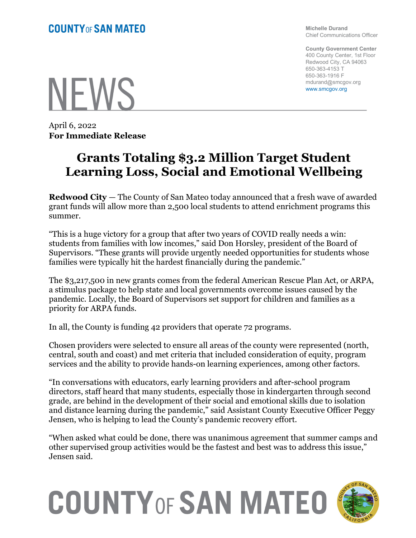Michelle Durand Chief Communications Officer

County Government Center 400 County Center, 1st Floor Redwood City, CA 94063 650-363-4153 T 650-363-1916 F mdurand@smcgov.org www.smcgov.org

**NEWS** 

April 6, 2022 For Immediate Release

## Grants Totaling \$3.2 Million Target Student Learning Loss, Social and Emotional Wellbeing

Redwood City — The County of San Mateo today announced that a fresh wave of awarded grant funds will allow more than 2,500 local students to attend enrichment programs this summer.

"This is a huge victory for a group that after two years of COVID really needs a win: students from families with low incomes," said Don Horsley, president of the Board of Supervisors. "These grants will provide urgently needed opportunities for students whose families were typically hit the hardest financially during the pandemic."

The \$3,217,500 in new grants comes from the federal American Rescue Plan Act, or ARPA, a stimulus package to help state and local governments overcome issues caused by the pandemic. Locally, the Board of Supervisors set support for children and families as a priority for ARPA funds.

In all, the County is funding 42 providers that operate 72 programs.

Chosen providers were selected to ensure all areas of the county were represented (north, central, south and coast) and met criteria that included consideration of equity, program services and the ability to provide hands-on learning experiences, among other factors.

"In conversations with educators, early learning providers and after-school program directors, staff heard that many students, especially those in kindergarten through second grade, are behind in the development of their social and emotional skills due to isolation and distance learning during the pandemic," said Assistant County Executive Officer Peggy Jensen, who is helping to lead the County's pandemic recovery effort.

"When asked what could be done, there was unanimous agreement that summer camps and other supervised group activities would be the fastest and best was to address this issue," Jensen said.

## **COUNTY OF SAN MATEO**